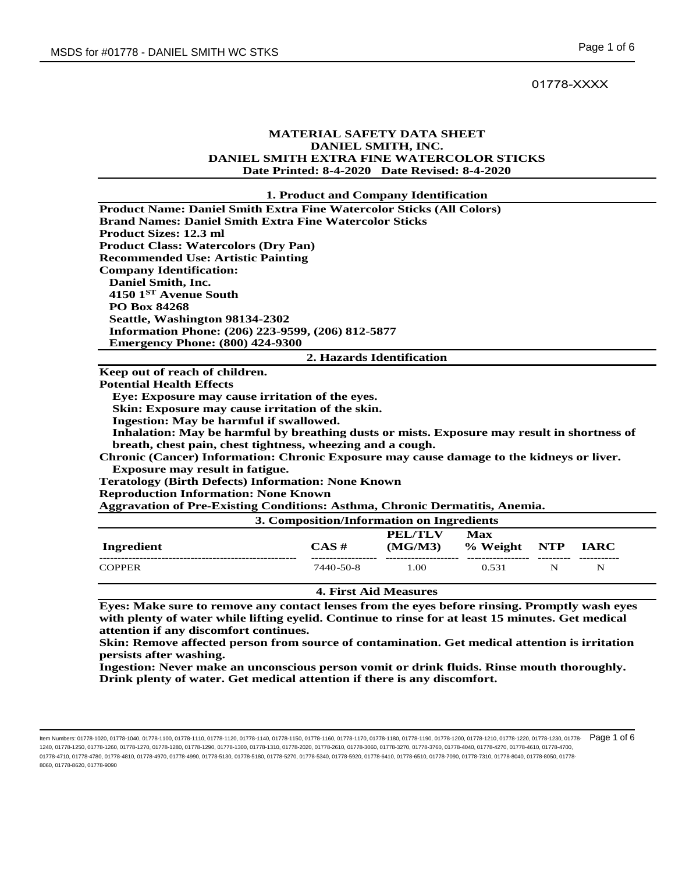# 01778-XXXX

## **MATERIAL SAFETY DATA SHEET DANIEL SMITH, INC. DANIEL SMITH EXTRA FINE WATERCOLOR STICKS Date Printed: 8-4-2020 Date Revised: 8-4-2020**

### **1. Product and Company Identification**

| <b>Product Name: Daniel Smith Extra Fine Watercolor Sticks (All Colors)</b>                 |  |  |  |  |
|---------------------------------------------------------------------------------------------|--|--|--|--|
| <b>Brand Names: Daniel Smith Extra Fine Watercolor Sticks</b>                               |  |  |  |  |
| <b>Product Sizes: 12.3 ml</b>                                                               |  |  |  |  |
| <b>Product Class: Watercolors (Dry Pan)</b>                                                 |  |  |  |  |
| <b>Recommended Use: Artistic Painting</b>                                                   |  |  |  |  |
| <b>Company Identification:</b>                                                              |  |  |  |  |
| Daniel Smith, Inc.                                                                          |  |  |  |  |
| 4150 1 <sup>ST</sup> Avenue South                                                           |  |  |  |  |
| <b>PO Box 84268</b>                                                                         |  |  |  |  |
| Seattle, Washington 98134-2302                                                              |  |  |  |  |
| Information Phone: (206) 223-9599, (206) 812-5877                                           |  |  |  |  |
| <b>Emergency Phone: (800) 424-9300</b>                                                      |  |  |  |  |
| 2. Hazards Identification                                                                   |  |  |  |  |
|                                                                                             |  |  |  |  |
| Keep out of reach of children.                                                              |  |  |  |  |
| <b>Potential Health Effects</b>                                                             |  |  |  |  |
| Eye: Exposure may cause irritation of the eyes.                                             |  |  |  |  |
| Skin: Exposure may cause irritation of the skin.                                            |  |  |  |  |
| Ingestion: May be harmful if swallowed.                                                     |  |  |  |  |
| Inhalation: May be harmful by breathing dusts or mists. Exposure may result in shortness of |  |  |  |  |
| breath, chest pain, chest tightness, wheezing and a cough.                                  |  |  |  |  |
| Chronic (Cancer) Information: Chronic Exposure may cause damage to the kidneys or liver.    |  |  |  |  |
| <b>Exposure may result in fatigue.</b>                                                      |  |  |  |  |
| <b>Teratology (Birth Defects) Information: None Known</b>                                   |  |  |  |  |
| <b>Reproduction Information: None Known</b>                                                 |  |  |  |  |
| <b>Aggravation of Pre-Existing Conditions: Asthma, Chronic Dermatitis, Anemia.</b>          |  |  |  |  |

| Ingredient    | 3. Composition/Information on Ingredients<br>CAS# | <b>PEL/TLV</b><br>(MG/M3) | Max<br>% Weight NTP |   | <b>TARC</b> |
|---------------|---------------------------------------------------|---------------------------|---------------------|---|-------------|
| <b>COPPER</b> | 7440-50-8                                         | 1.00                      | 0.531               | N | N           |

**4. First Aid Measures** 

**Eyes: Make sure to remove any contact lenses from the eyes before rinsing. Promptly wash eyes with plenty of water while lifting eyelid. Continue to rinse for at least 15 minutes. Get medical attention if any discomfort continues.** 

**Skin: Remove affected person from source of contamination. Get medical attention is irritation persists after washing.** 

**Ingestion: Never make an unconscious person vomit or drink fluids. Rinse mouth thoroughly. Drink plenty of water. Get medical attention if there is any discomfort.** 

ltem Numbers: 01778-1020, 01778-1040, 01778-1110, 01778-1110, 01778-1140, 01778-1150, 01778-1160, 01778-1170, 01778-1180, 01778-1180, 01778-1200, 01778-1210, 01778-1220, 01778-1220, 01778-1220, 01778-1220, 01778-1220, 0177 1240, 01778-1250, 01778-1260, 01778-1270, 01778-1280, 01778-1290, 01778-1300, 01778-1310, 01778-2020, 01778-2610, 01778-3060, 01778-3270, 01778-3760, 01778-4040, 01778-4270, 01778-4610, 01778-4700, 01778-4710, 01778-4780, 01778-4810, 01778-4970, 01778-4990, 01778-5130, 01778-5180, 01778-5270, 01778-5340, 01778-5920, 01778-6410, 01778-6510, 01778-7090, 01778-7310, 01778-8040, 01778-8050, 01778- 8060, 01778-8620, 01778-9090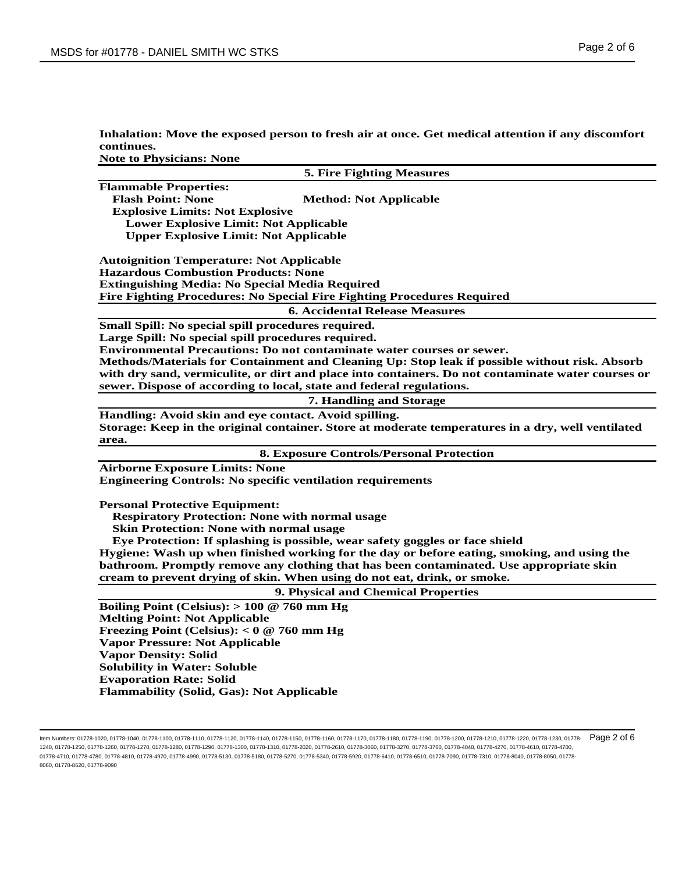| Inhalation: Move the exposed person to fresh air at once. Get medical attention if any discomfort |
|---------------------------------------------------------------------------------------------------|
| continues.                                                                                        |
|                                                                                                   |

**Note to Physicians: None**

| <b>5. Fire Fighting Measures</b>                                                                   |
|----------------------------------------------------------------------------------------------------|
| <b>Flammable Properties:</b>                                                                       |
| <b>Flash Point: None</b><br><b>Method: Not Applicable</b>                                          |
| <b>Explosive Limits: Not Explosive</b>                                                             |
| <b>Lower Explosive Limit: Not Applicable</b>                                                       |
| <b>Upper Explosive Limit: Not Applicable</b>                                                       |
| <b>Autoignition Temperature: Not Applicable</b>                                                    |
| <b>Hazardous Combustion Products: None</b>                                                         |
| <b>Extinguishing Media: No Special Media Required</b>                                              |
| Fire Fighting Procedures: No Special Fire Fighting Procedures Required                             |
| <b>6. Accidental Release Measures</b>                                                              |
| Small Spill: No special spill procedures required.                                                 |
| Large Spill: No special spill procedures required.                                                 |
| Environmental Precautions: Do not contaminate water courses or sewer.                              |
| Methods/Materials for Containment and Cleaning Up: Stop leak if possible without risk. Absorb      |
| with dry sand, vermiculite, or dirt and place into containers. Do not contaminate water courses or |
| sewer. Dispose of according to local, state and federal regulations.                               |
| 7. Handling and Storage                                                                            |
| Handling: Avoid skin and eye contact. Avoid spilling.                                              |
| Storage: Keep in the original container. Store at moderate temperatures in a dry, well ventilated  |
| area.                                                                                              |
| <b>8. Exposure Controls/Personal Protection</b>                                                    |
| <b>Airborne Exposure Limits: None</b>                                                              |
| <b>Engineering Controls: No specific ventilation requirements</b>                                  |
| <b>Personal Protective Equipment:</b>                                                              |
| <b>Respiratory Protection: None with normal usage</b>                                              |
| <b>Skin Protection: None with normal usage</b>                                                     |
| Eye Protection: If splashing is possible, wear safety goggles or face shield                       |
| Hygiene: Wash up when finished working for the day or before eating, smoking, and using the        |
| bathroom. Promptly remove any clothing that has been contaminated. Use appropriate skin            |
| cream to prevent drying of skin. When using do not eat, drink, or smoke.                           |
| 9. Physical and Chemical Properties                                                                |
| Boiling Point (Celsius): $> 100 \ @ 760 \text{ mm Hg}$                                             |
| <b>Melting Point: Not Applicable</b>                                                               |
| Freezing Point (Celsius): $< 0$ @ 760 mm Hg                                                        |
| <b>Vapor Pressure: Not Applicable</b>                                                              |
| <b>Vapor Density: Solid</b>                                                                        |
| <b>Solubility in Water: Soluble</b>                                                                |
| <b>Evaporation Rate: Solid</b>                                                                     |
| Flammability (Solid, Gas): Not Applicable                                                          |
|                                                                                                    |

ltem Numbers: 01778-1020, 01778-1040, 01778-1110, 01778-1110, 01778-1140, 01778-1150, 01778-1160, 01778-1170, 01778-1180, 01778-1180, 01778-1200, 01778-1210, 01778-1220, 01778-1220, 01778-1220, 01778-1220, 01778-1220, 0177 1240, 01778-1250, 01778-1260, 01778-1270, 01778-1280, 01778-1290, 01778-1300, 01778-1310, 01778-2020, 01778-2610, 01778-3060, 01778-3270, 01778-3760, 01778-4040, 01778-4270, 01778-4610, 01778-4700, 01778-4710, 01778-4780, 01778-4810, 01778-4970, 01778-4990, 01778-5130, 01778-5180, 01778-5270, 01778-5340, 01778-5920, 01778-6410, 01778-6510, 01778-7090, 01778-7310, 01778-8040, 01778-8050, 01778- 8060, 01778-8620, 01778-9090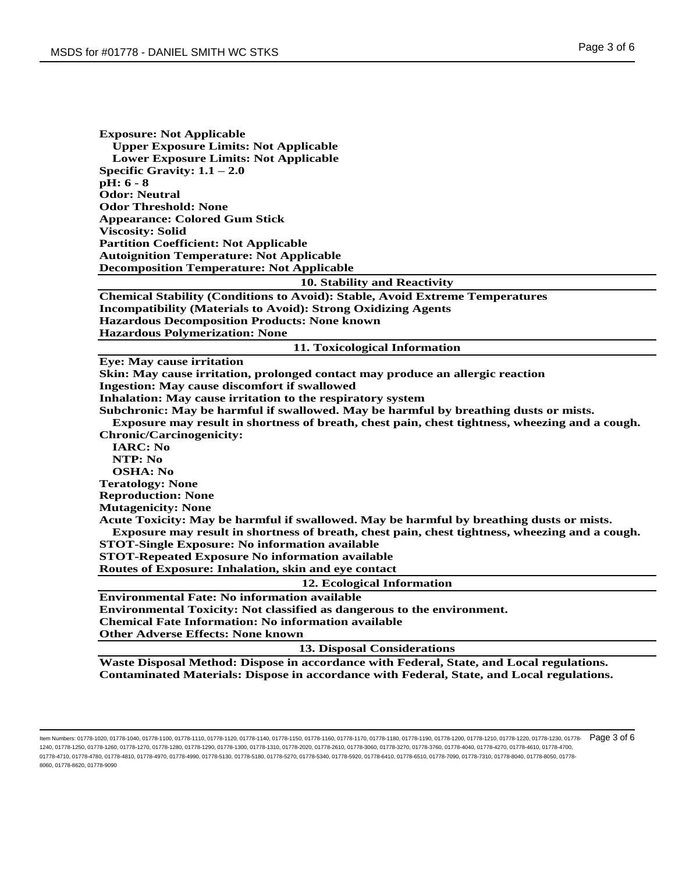| <b>Exposure: Not Applicable</b>                                                                      |
|------------------------------------------------------------------------------------------------------|
| <b>Upper Exposure Limits: Not Applicable</b>                                                         |
| <b>Lower Exposure Limits: Not Applicable</b>                                                         |
| Specific Gravity: $1.1 - 2.0$                                                                        |
| $pH: 6 - 8$<br><b>Odor: Neutral</b>                                                                  |
| <b>Odor Threshold: None</b>                                                                          |
| <b>Appearance: Colored Gum Stick</b>                                                                 |
| <b>Viscosity: Solid</b>                                                                              |
| <b>Partition Coefficient: Not Applicable</b>                                                         |
| <b>Autoignition Temperature: Not Applicable</b>                                                      |
| <b>Decomposition Temperature: Not Applicable</b>                                                     |
|                                                                                                      |
| 10. Stability and Reactivity                                                                         |
| <b>Chemical Stability (Conditions to Avoid): Stable, Avoid Extreme Temperatures</b>                  |
| <b>Incompatibility (Materials to Avoid): Strong Oxidizing Agents</b>                                 |
| <b>Hazardous Decomposition Products: None known</b>                                                  |
| <b>Hazardous Polymerization: None</b>                                                                |
| 11. Toxicological Information                                                                        |
| <b>Eye: May cause irritation</b>                                                                     |
| Skin: May cause irritation, prolonged contact may produce an allergic reaction                       |
| <b>Ingestion: May cause discomfort if swallowed</b>                                                  |
| Inhalation: May cause irritation to the respiratory system                                           |
| Subchronic: May be harmful if swallowed. May be harmful by breathing dusts or mists.                 |
| Exposure may result in shortness of breath, chest pain, chest tightness, wheezing and a cough.       |
| <b>Chronic/Carcinogenicity:</b>                                                                      |
| <b>IARC: No</b>                                                                                      |
| NTP: No                                                                                              |
| <b>OSHA: No</b>                                                                                      |
| <b>Teratology: None</b>                                                                              |
| <b>Reproduction: None</b>                                                                            |
| <b>Mutagenicity: None</b>                                                                            |
| Acute Toxicity: May be harmful if swallowed. May be harmful by breathing dusts or mists.             |
| Exposure may result in shortness of breath, chest pain, chest tightness, wheezing and a cough.       |
| <b>STOT-Single Exposure: No information available</b>                                                |
| <b>STOT-Repeated Exposure No information available</b>                                               |
| Routes of Exposure: Inhalation, skin and eye contact                                                 |
| 12. Ecological Information                                                                           |
| <b>Environmental Fate: No information available</b>                                                  |
| <b>Environmental Toxicity: Not classified as dangerous to the environment.</b>                       |
| <b>Chemical Fate Information: No information available</b>                                           |
| <b>Other Adverse Effects: None known</b>                                                             |
| <b>13. Disposal Considerations</b>                                                                   |
| $\mathbf{X} \mathbf{X}^T$ , $\mathbf{A} \in \mathbf{D}$<br>$\bullet$<br>. <b>. .</b><br>$\mathbf{r}$ |

**Waste Disposal Method: Dispose in accordance with Federal, State, and Local regulations. Contaminated Materials: Dispose in accordance with Federal, State, and Local regulations.**

ltem Numbers: 01778-1020, 01778-1040, 01778-1110, 01778-1110, 01778-1140, 01778-1150, 01778-1160, 01778-1170, 01778-1180, 01778-1180, 01778-1200, 01778-1210, 01778-1220, 01778-1220, 01778-1220, 01778-1220, 01778-1220, 0177 1240, 01778-1250, 01778-1260, 01778-1270, 01778-1280, 01778-1290, 01778-1300, 01778-1310, 01778-2020, 01778-2610, 01778-3060, 01778-3270, 01778-3760, 01778-4040, 01778-4270, 01778-4610, 01778-4700, 01778-4710, 01778-4780, 01778-4810, 01778-4970, 01778-4990, 01778-5130, 01778-5180, 01778-5270, 01778-5340, 01778-5920, 01778-6410, 01778-6510, 01778-7090, 01778-7310, 01778-8040, 01778-8050, 01778- 8060, 01778-8620, 01778-9090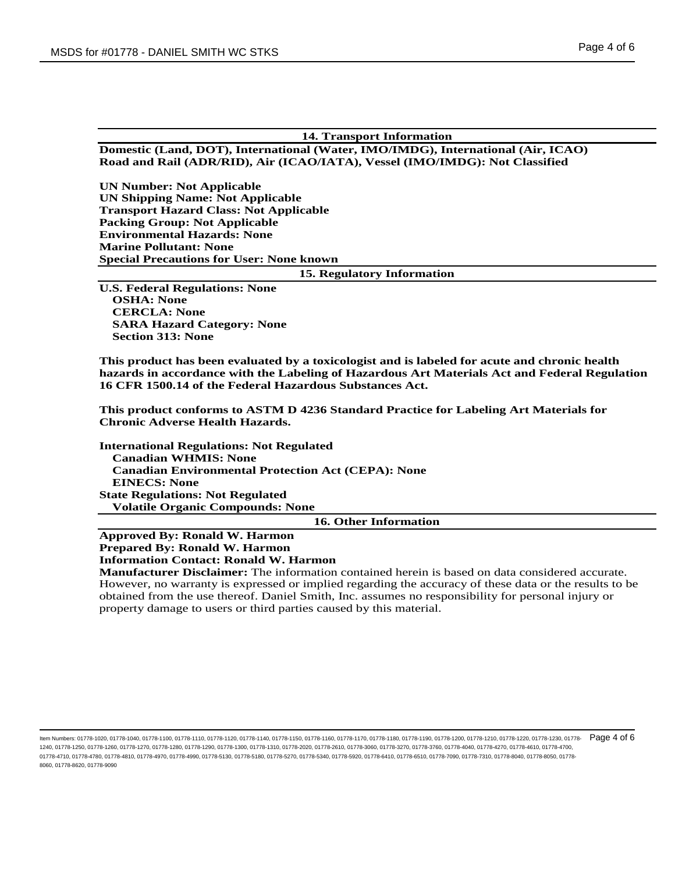# **14. Transport Information Domestic (Land, DOT), International (Water, IMO/IMDG), International (Air, ICAO)**

**Road and Rail (ADR/RID), Air (ICAO/IATA), Vessel (IMO/IMDG): Not Classified**

**UN Number: Not Applicable UN Shipping Name: Not Applicable Transport Hazard Class: Not Applicable Packing Group: Not Applicable Environmental Hazards: None Marine Pollutant: None Special Precautions for User: None known**

## **15. Regulatory Information**

**U.S. Federal Regulations: None OSHA: None CERCLA: None SARA Hazard Category: None Section 313: None**

**This product has been evaluated by a toxicologist and is labeled for acute and chronic health hazards in accordance with the Labeling of Hazardous Art Materials Act and Federal Regulation 16 CFR 1500.14 of the Federal Hazardous Substances Act.**

**This product conforms to ASTM D 4236 Standard Practice for Labeling Art Materials for Chronic Adverse Health Hazards.**

**International Regulations: Not Regulated Canadian WHMIS: None Canadian Environmental Protection Act (CEPA): None EINECS: None State Regulations: Not Regulated Volatile Organic Compounds: None**

**16. Other Information**

**Approved By: Ronald W. Harmon Prepared By: Ronald W. Harmon**

**Information Contact: Ronald W. Harmon**

**Manufacturer Disclaimer:** The information contained herein is based on data considered accurate. However, no warranty is expressed or implied regarding the accuracy of these data or the results to be obtained from the use thereof. Daniel Smith, Inc. assumes no responsibility for personal injury or property damage to users or third parties caused by this material.

ltem Numbers: 01778-1020, 01778-1040, 01778-1110, 01778-1110, 01778-1140, 01778-1150, 01778-1160, 01778-1170, 01778-1180, 01778-1180, 01778-1200, 01778-1210, 01778-1220, 01778-1220, 01778-1220, 01778-1220, 01778-1220, 0177 1240, 01778-1250, 01778-1260, 01778-1270, 01778-1280, 01778-1290, 01778-1300, 01778-1310, 01778-2020, 01778-2610, 01778-3060, 01778-3270, 01778-3760, 01778-4040, 01778-4270, 01778-4610, 01778-4700, 01778-4710, 01778-4780, 01778-4810, 01778-4970, 01778-4990, 01778-5130, 01778-5180, 01778-5270, 01778-5340, 01778-5920, 01778-6410, 01778-6510, 01778-7090, 01778-7310, 01778-8040, 01778-8050, 01778- 8060, 01778-8620, 01778-9090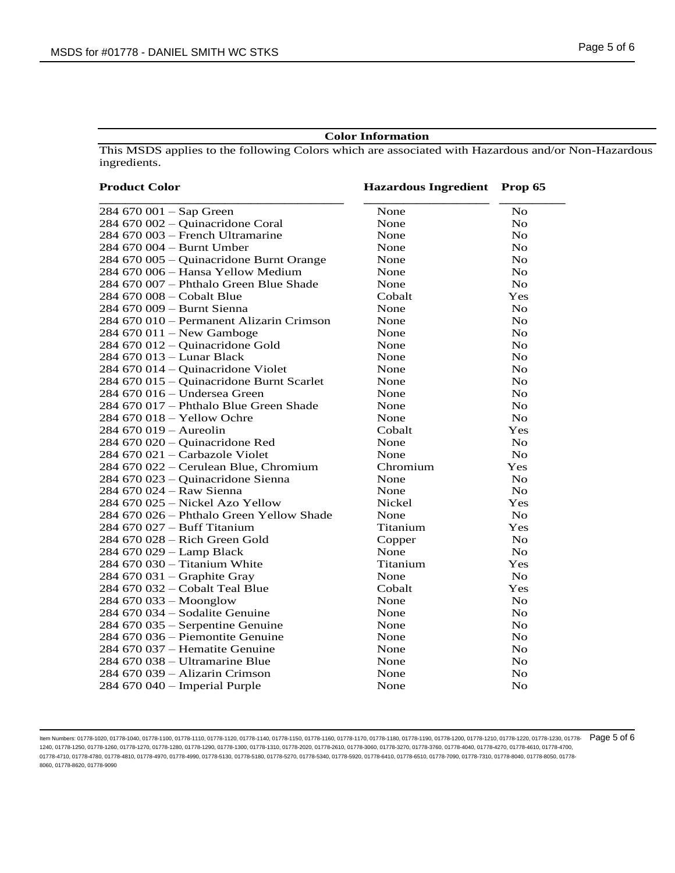## **Color Information**

This MSDS applies to the following Colors which are associated with Hazardous and/or Non-Hazardous ingredients.

| <b>Product Color</b>                     | <b>Hazardous Ingredient</b> Prop 65 |                |  |
|------------------------------------------|-------------------------------------|----------------|--|
| $284670001 -$ Sap Green                  | None                                | No             |  |
| 284 670 002 - Quinacridone Coral         | None                                | $\rm No$       |  |
| 284 670 003 - French Ultramarine         | None                                | $\rm No$       |  |
| 284 670 004 - Burnt Umber                | None                                | $\rm No$       |  |
| 284 670 005 - Quinacridone Burnt Orange  | None                                | $\rm No$       |  |
| 284 670 006 - Hansa Yellow Medium        | None                                | No             |  |
| 284 670 007 - Phthalo Green Blue Shade   | None                                | No             |  |
| 284 670 008 – Cobalt Blue                | Cobalt                              | Yes            |  |
| 284 670 009 – Burnt Sienna               | None                                | N <sub>o</sub> |  |
| 284 670 010 – Permanent Alizarin Crimson | None                                | No             |  |
| 284 670 011 – New Gamboge                | None                                | No             |  |
| 284 670 012 - Quinacridone Gold          | None                                | No             |  |
| 284 670 013 - Lunar Black                | None                                | No             |  |
| 284 670 014 - Quinacridone Violet        | None                                | $\rm No$       |  |
| 284 670 015 - Quinacridone Burnt Scarlet | None                                | $\rm No$       |  |
| 284 670 016 - Undersea Green             | None                                | $\rm No$       |  |
| 284 670 017 – Phthalo Blue Green Shade   | None                                | N <sub>o</sub> |  |
| 284 670 018 - Yellow Ochre               | None                                | No             |  |
| $284670019 -$ Aureolin                   | Cobalt                              | Yes            |  |
| 284 670 020 - Quinacridone Red           | None                                | No             |  |
| 284 670 021 - Carbazole Violet           | None                                | <b>No</b>      |  |
| 284 670 022 - Cerulean Blue, Chromium    | Chromium                            | Yes            |  |
| 284 670 023 - Quinacridone Sienna        | None                                | N <sub>o</sub> |  |
| 284 670 024 - Raw Sienna                 | None                                | N <sub>o</sub> |  |
| 284 670 025 – Nickel Azo Yellow          | Nickel                              | Yes            |  |
| 284 670 026 – Phthalo Green Yellow Shade | None                                | N <sub>o</sub> |  |
| 284 670 027 – Buff Titanium              | Titanium                            | Yes            |  |
| 284 670 028 - Rich Green Gold            | Copper                              | N <sub>0</sub> |  |
| 284 670 029 - Lamp Black                 | None                                | <b>No</b>      |  |
| 284 670 030 – Titanium White             | Titanium                            | Yes            |  |
| 284 670 031 – Graphite Gray              | None                                | N <sub>o</sub> |  |
| 284 670 032 – Cobalt Teal Blue           | Cobalt                              | Yes            |  |
| 284 670 033 - Moonglow                   | None                                | N <sub>o</sub> |  |
| 284 670 034 – Sodalite Genuine           | None                                | $\rm No$       |  |
| 284 670 035 - Serpentine Genuine         | None                                | $\rm No$       |  |
| 284 670 036 – Piemontite Genuine         | None                                | No             |  |
| 284 670 037 – Hematite Genuine           | None                                | $\rm No$       |  |
| 284 670 038 – Ultramarine Blue           | None                                | No             |  |
| 284 670 039 - Alizarin Crimson           | None                                | <b>No</b>      |  |
| $284670040$ – Imperial Purple            | None                                | No             |  |

ltem Numbers: 01778-1020, 01778-1040, 01778-1110, 01778-1110, 01778-1140, 01778-1150, 01778-1160, 01778-1170, 01778-1180, 01778-1180, 01778-1200, 01778-1210, 01778-1220, 01778-1220, 01778-1220, 01778-1220, 01778-1220, 0177 1240, 01778-1250, 01778-1260, 01778-1270, 01778-1280, 01778-1290, 01778-1300, 01778-1310, 01778-2020, 01778-2610, 01778-3060, 01778-3270, 01778-3760, 01778-4040, 01778-4270, 01778-4610, 01778-4700, 01778-4710, 01778-4780, 01778-4810, 01778-4970, 01778-4990, 01778-5130, 01778-5180, 01778-5270, 01778-5340, 01778-5920, 01778-6410, 01778-6510, 01778-7090, 01778-7310, 01778-8040, 01778-8050, 01778- 8060, 01778-8620, 01778-9090